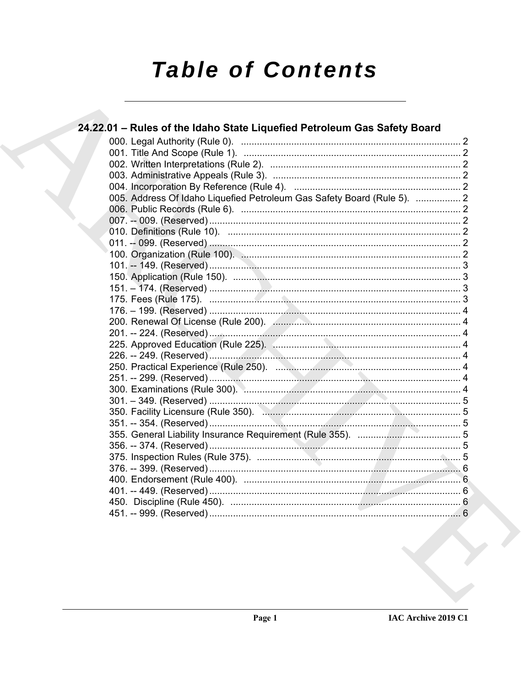# **Table of Contents**

| 24.22.01 - Rules of the Idaho State Liquefied Petroleum Gas Safety Board |  |
|--------------------------------------------------------------------------|--|
|                                                                          |  |
|                                                                          |  |
|                                                                          |  |
|                                                                          |  |
|                                                                          |  |
| 005. Address Of Idaho Liquefied Petroleum Gas Safety Board (Rule 5).  2  |  |
|                                                                          |  |
|                                                                          |  |
|                                                                          |  |
|                                                                          |  |
|                                                                          |  |
|                                                                          |  |
|                                                                          |  |
|                                                                          |  |
|                                                                          |  |
|                                                                          |  |
|                                                                          |  |
|                                                                          |  |
|                                                                          |  |
|                                                                          |  |
|                                                                          |  |
|                                                                          |  |
|                                                                          |  |
|                                                                          |  |
|                                                                          |  |
|                                                                          |  |
|                                                                          |  |
|                                                                          |  |
|                                                                          |  |
|                                                                          |  |
|                                                                          |  |
|                                                                          |  |
|                                                                          |  |
|                                                                          |  |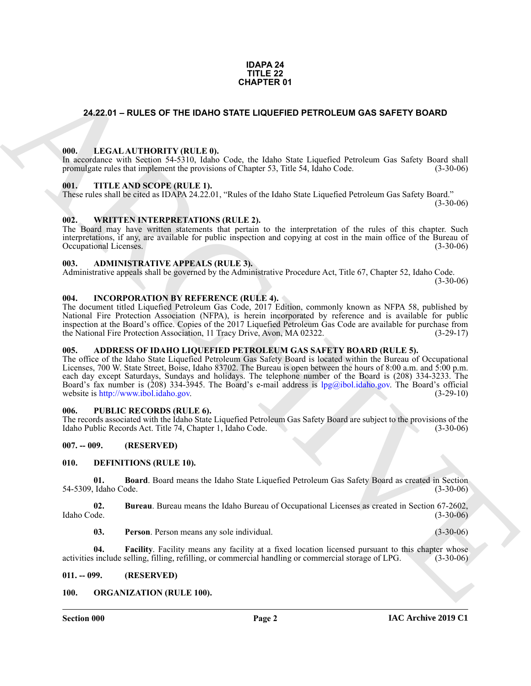#### **IDAPA 24 TITLE 22 CHAPTER 01**

### <span id="page-1-0"></span>**24.22.01 – RULES OF THE IDAHO STATE LIQUEFIED PETROLEUM GAS SAFETY BOARD**

#### <span id="page-1-20"></span><span id="page-1-1"></span>**000. LEGAL AUTHORITY (RULE 0).**

In accordance with Section 54-5310, Idaho Code, the Idaho State Liquefied Petroleum Gas Safety Board shall promulgate rules that implement the provisions of Chapter 53, Title 54, Idaho Code. (3-30-06)

#### <span id="page-1-23"></span><span id="page-1-2"></span>**001. TITLE AND SCOPE (RULE 1).**

These rules shall be cited as IDAPA 24.22.01, "Rules of the Idaho State Liquefied Petroleum Gas Safety Board."

 $(3-30-06)$ 

#### <span id="page-1-24"></span><span id="page-1-3"></span>**002. WRITTEN INTERPRETATIONS (RULE 2).**

The Board may have written statements that pertain to the interpretation of the rules of this chapter. Such interpretations, if any, are available for public inspection and copying at cost in the main office of the Bureau of Occupational Licenses. (3-30-06)

#### <span id="page-1-13"></span><span id="page-1-4"></span>**003. ADMINISTRATIVE APPEALS (RULE 3).**

Administrative appeals shall be governed by the Administrative Procedure Act, Title 67, Chapter 52, Idaho Code.  $(3-30-06)$ 

#### <span id="page-1-19"></span><span id="page-1-5"></span>**004. INCORPORATION BY REFERENCE (RULE 4).**

The document titled Liquefied Petroleum Gas Code, 2017 Edition, commonly known as NFPA 58, published by National Fire Protection Association (NFPA), is herein incorporated by reference and is available for public inspection at the Board's office. Copies of the 2017 Liquefied Petroleum Gas Code are available for purchase from the National Fire Protection Association, 11 Tracy Drive, Avon, MA 02322. (3-29-17)

#### <span id="page-1-12"></span><span id="page-1-6"></span>**005. ADDRESS OF IDAHO LIQUEFIED PETROLEUM GAS SAFETY BOARD (RULE 5).**

**CHAPTER 01**<br> **CHAPTER 01**<br> **CHAPTER 01**<br> **CHAPTER CONTINUES CONTINUES CONTINUES CONTINUES CONTINUES CONTINUES CONTINUES CONTINUES CONTINUES CONTINUES CONTINUES CONTINUES CONTINUES CONTINUES CONTINUES CONTINUES CONTINUES** The office of the Idaho State Liquefied Petroleum Gas Safety Board is located within the Bureau of Occupational Licenses, 700 W. State Street, Boise, Idaho 83702. The Bureau is open between the hours of 8:00 a.m. and 5:00 p.m. each day except Saturdays, Sundays and holidays. The telephone number of the Board is (208) 334-3233. The Board's fax number is (208) 334-3945. The Board's e-mail address is lpg@ibol.idaho.gov. The Board's official website is http://www.ibol.idaho.gov. (3-29-10)

#### <span id="page-1-22"></span><span id="page-1-7"></span>**006. PUBLIC RECORDS (RULE 6).**

The records associated with the Idaho State Liquefied Petroleum Gas Safety Board are subject to the provisions of the Idaho Public Records Act. Title 74, Chapter 1, Idaho Code. (3-30-06)

#### <span id="page-1-8"></span>**007. -- 009. (RESERVED)**

#### <span id="page-1-14"></span><span id="page-1-9"></span>**010. DEFINITIONS (RULE 10).**

<span id="page-1-15"></span>**01. Board**. Board means the Idaho State Liquefied Petroleum Gas Safety Board as created in Section 54-5309, Idaho Code. (3-30-06)

**02.** Bureau. Bureau means the Idaho Bureau of Occupational Licenses as created in Section 67-2602, Idaho Code. (3-30-06) Idaho Code. (3-30-06)

<span id="page-1-18"></span><span id="page-1-17"></span><span id="page-1-16"></span>**03. Person**. Person means any sole individual. (3-30-06)

**04. Facility**. Facility means any facility at a fixed location licensed pursuant to this chapter whose activities include selling, filling, refilling, or commercial handling or commercial storage of LPG. (3-30-06)

#### <span id="page-1-10"></span>**011. -- 099. (RESERVED)**

#### <span id="page-1-21"></span><span id="page-1-11"></span>**100. ORGANIZATION (RULE 100).**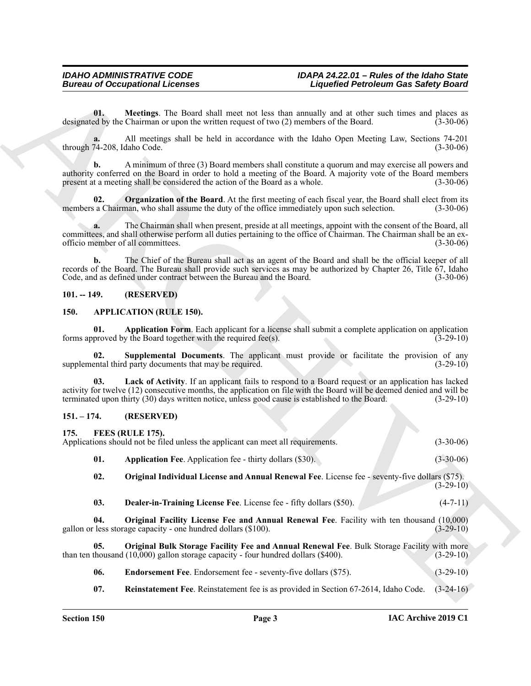#### <span id="page-2-17"></span><span id="page-2-0"></span>**101. -- 149. (RESERVED)**

#### <span id="page-2-7"></span><span id="page-2-5"></span><span id="page-2-4"></span><span id="page-2-1"></span>**150. APPLICATION (RULE 150).**

#### <span id="page-2-15"></span><span id="page-2-14"></span><span id="page-2-13"></span><span id="page-2-12"></span><span id="page-2-11"></span><span id="page-2-10"></span><span id="page-2-9"></span><span id="page-2-8"></span><span id="page-2-6"></span><span id="page-2-3"></span><span id="page-2-2"></span>**151. – 174. (RESERVED)**

<span id="page-2-16"></span>

|                             | <b>Bureau of Occupational Licenses</b>                                                               |                                                                                                                                                                                                                               | <b>Liquefied Petroleum Gas Safety Board</b> |  |
|-----------------------------|------------------------------------------------------------------------------------------------------|-------------------------------------------------------------------------------------------------------------------------------------------------------------------------------------------------------------------------------|---------------------------------------------|--|
| 01.                         | designated by the Chairman or upon the written request of two (2) members of the Board.              | Meetings. The Board shall meet not less than annually and at other such times and places as                                                                                                                                   | $(3-30-06)$                                 |  |
| through 74-208, Idaho Code. |                                                                                                      | All meetings shall be held in accordance with the Idaho Open Meeting Law, Sections 74-201                                                                                                                                     | $(3-30-06)$                                 |  |
| b.                          | present at a meeting shall be considered the action of the Board as a whole.                         | A minimum of three (3) Board members shall constitute a quorum and may exercise all powers and<br>authority conferred on the Board in order to hold a meeting of the Board. A majority vote of the Board members              | $(3-30-06)$                                 |  |
| 02.                         | members a Chairman, who shall assume the duty of the office immediately upon such selection.         | <b>Organization of the Board.</b> At the first meeting of each fiscal year, the Board shall elect from its                                                                                                                    | $(3-30-06)$                                 |  |
| a.                          | officio member of all committees.                                                                    | The Chairman shall when present, preside at all meetings, appoint with the consent of the Board, all<br>committees, and shall otherwise perform all duties pertaining to the office of Chairman. The Chairman shall be an ex- | $(3-30-06)$                                 |  |
| $\mathbf{b}$ .              | Code, and as defined under contract between the Bureau and the Board.                                | The Chief of the Bureau shall act as an agent of the Board and shall be the official keeper of all<br>records of the Board. The Bureau shall provide such services as may be authorized by Chapter 26, Title 67, Idaho        | $(3-30-06)$                                 |  |
| $101. - 149.$               | (RESERVED)                                                                                           |                                                                                                                                                                                                                               |                                             |  |
| 150.                        | <b>APPLICATION (RULE 150).</b>                                                                       |                                                                                                                                                                                                                               |                                             |  |
| 01.                         | forms approved by the Board together with the required fee(s).                                       | Application Form. Each applicant for a license shall submit a complete application on application                                                                                                                             | $(3-29-10)$                                 |  |
| 02.                         | supplemental third party documents that may be required.                                             | Supplemental Documents. The applicant must provide or facilitate the provision of any                                                                                                                                         | $(3-29-10)$                                 |  |
| 03.                         | terminated upon thirty (30) days written notice, unless good cause is established to the Board.      | Lack of Activity. If an applicant fails to respond to a Board request or an application has lacked<br>activity for twelve (12) consecutive months, the application on file with the Board will be deemed denied and will be   | $(3-29-10)$                                 |  |
| $151. - 174.$               | (RESERVED)                                                                                           |                                                                                                                                                                                                                               |                                             |  |
| 175.                        | FEES (RULE 175).<br>Applications should not be filed unless the applicant can meet all requirements. |                                                                                                                                                                                                                               | $(3-30-06)$                                 |  |
| 01.                         | <b>Application Fee.</b> Application fee - thirty dollars (\$30).                                     |                                                                                                                                                                                                                               | $(3-30-06)$                                 |  |
| 02.                         |                                                                                                      | Original Individual License and Annual Renewal Fee. License fee - seventy-five dollars (\$75).                                                                                                                                | $(3-29-10)$                                 |  |
| 03.                         | Dealer-in-Training License Fee. License fee - fifty dollars (\$50).                                  |                                                                                                                                                                                                                               | $(4-7-11)$                                  |  |
| 04.                         | gallon or less storage capacity - one hundred dollars (\$100).                                       | Original Facility License Fee and Annual Renewal Fee. Facility with ten thousand (10,000)                                                                                                                                     | $(3-29-10)$                                 |  |
| 05.                         | than ten thousand $(10,000)$ gallon storage capacity - four hundred dollars (\$400).                 | Original Bulk Storage Facility Fee and Annual Renewal Fee. Bulk Storage Facility with more                                                                                                                                    | $(3-29-10)$                                 |  |
| 06.                         | Endorsement Fee. Endorsement fee - seventy-five dollars (\$75).                                      |                                                                                                                                                                                                                               | $(3-29-10)$                                 |  |
|                             |                                                                                                      | Reinstatement Fee. Reinstatement fee is as provided in Section 67-2614, Idaho Code.                                                                                                                                           |                                             |  |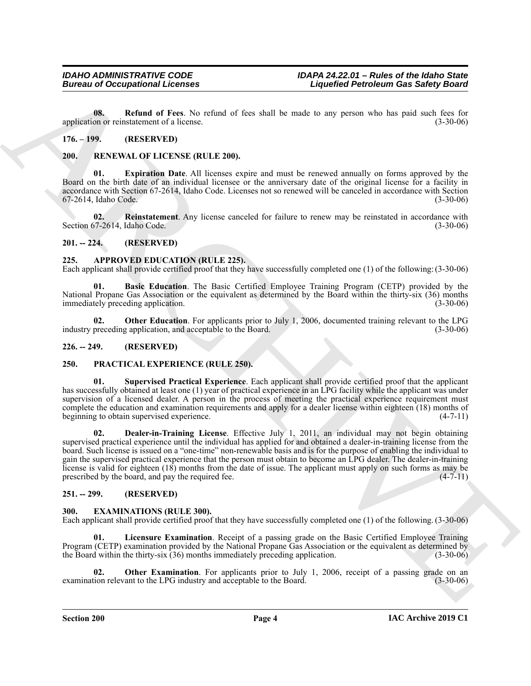<span id="page-3-14"></span>**08. Refund of Fees**. No refund of fees shall be made to any person who has paid such fees for application or reinstatement of a license. (3-30-06)

#### <span id="page-3-0"></span>**176. – 199. (RESERVED)**

#### <span id="page-3-18"></span><span id="page-3-1"></span>**200. RENEWAL OF LICENSE (RULE 200).**

<span id="page-3-19"></span>**01. Expiration Date**. All licenses expire and must be renewed annually on forms approved by the Board on the birth date of an individual licensee or the anniversary date of the original license for a facility in accordance with Section 67-2614, Idaho Code. Licenses not so renewed will be canceled in accordance with Section 67-2614, Idaho Code. (3-30-06)

<span id="page-3-20"></span>**02. Reinstatement**. Any license canceled for failure to renew may be reinstated in accordance with Section 67-2614, Idaho Code. (3-30-06)

#### <span id="page-3-2"></span>**201. -- 224. (RESERVED)**

#### <span id="page-3-8"></span><span id="page-3-3"></span>**225. APPROVED EDUCATION (RULE 225).**

Each applicant shall provide certified proof that they have successfully completed one (1) of the following: (3-30-06)

<span id="page-3-9"></span>**01. Basic Education**. The Basic Certified Employee Training Program (CETP) provided by the National Propane Gas Association or the equivalent as determined by the Board within the thirty-six (36) months immediately preceding application. (3-30-06)

<span id="page-3-10"></span>**02. Other Education**. For applicants prior to July 1, 2006, documented training relevant to the LPG industry preceding application, and acceptable to the Board. (3-30-06)

#### <span id="page-3-4"></span>**226. -- 249. (RESERVED)**

#### <span id="page-3-15"></span><span id="page-3-5"></span>**250. PRACTICAL EXPERIENCE (RULE 250).**

<span id="page-3-17"></span><span id="page-3-16"></span>**01. Supervised Practical Experience**. Each applicant shall provide certified proof that the applicant has successfully obtained at least one (1) year of practical experience in an LPG facility while the applicant was under supervision of a licensed dealer. A person in the process of meeting the practical experience requirement must complete the education and examination requirements and apply for a dealer license within eighteen (18) months of beginning to obtain supervised experience. (4-7-11)

European of Occupational Licenses<br>
We are the same of Figure 1 Liquidity of any person who has follows that is a specifical person of the same of Figure 1.1 and the same of Figure 1.1 and the same of Figure 1.1 and the sa **02. Dealer-in-Training License**. Effective July 1, 2011, an individual may not begin obtaining supervised practical experience until the individual has applied for and obtained a dealer-in-training license from the board. Such license is issued on a "one-time" non-renewable basis and is for the purpose of enabling the individual to gain the supervised practical experience that the person must obtain to become an LPG dealer. The dealer-in-training license is valid for eighteen  $(18)$  months from the date of issue. The applicant must apply on such forms as may be prescribed by the board, and pay the required fee.  $(4-7-11)$ prescribed by the board, and pay the required fee.

#### <span id="page-3-6"></span>**251. -- 299. (RESERVED)**

#### <span id="page-3-11"></span><span id="page-3-7"></span>**300. EXAMINATIONS (RULE 300).**

Each applicant shall provide certified proof that they have successfully completed one (1) of the following. (3-30-06)

<span id="page-3-12"></span>**01. Licensure Examination**. Receipt of a passing grade on the Basic Certified Employee Training Program (CETP) examination provided by the National Propane Gas Association or the equivalent as determined by the Board within the thirty-six (36) months immediately preceding application. (3-30-06)

<span id="page-3-13"></span>**02. Other Examination**. For applicants prior to July 1, 2006, receipt of a passing grade on an ion relevant to the LPG industry and acceptable to the Board. (3-30-06) examination relevant to the LPG industry and acceptable to the Board.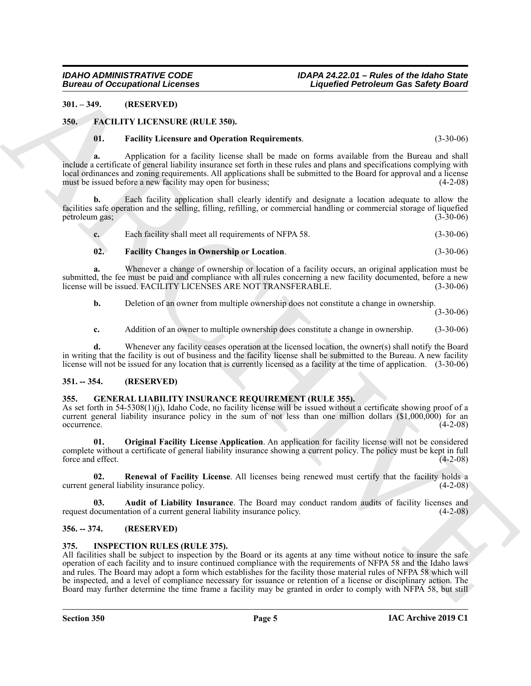#### <span id="page-4-0"></span>**301. – 349. (RESERVED)**

#### <span id="page-4-1"></span>**350. FACILITY LICENSURE (RULE 350).**

#### <span id="page-4-8"></span><span id="page-4-6"></span>**01. Facility Licensure and Operation Requirements**. (3-30-06)

**a.** Application for a facility license shall be made on forms available from the Bureau and shall include a certificate of general liability insurance set forth in these rules and plans and specifications complying with local ordinances and zoning requirements. All applications shall be submitted to the Board for approval and a license must be issued before a new facility may open for business; (4-2-08)

**b.** Each facility application shall clearly identify and designate a location adequate to allow the facilities safe operation and the selling, filling, refilling, or commercial handling or commercial storage of liquefied petroleum gas; (3-30-06)

| ı. | Each facility shall meet all requirements of NFPA 58. | $(3-30-06)$ |
|----|-------------------------------------------------------|-------------|
|    |                                                       |             |

#### <span id="page-4-7"></span>**02. Facility Changes in Ownership or Location**. (3-30-06)

**a.** Whenever a change of ownership or location of a facility occurs, an original application must be submitted, the fee must be paid and compliance with all rules concerning a new facility documented, before a new<br>license will be issued. FACILITY LICENSES ARE NOT TRANSFERABLE. (3-30-06) license will be issued. FACILITY LICENSES ARE NOT TRANSFERABLE.

**b.** Deletion of an owner from multiple ownership does not constitute a change in ownership.

(3-30-06)

**c.** Addition of an owner to multiple ownership does constitute a change in ownership. (3-30-06)

**d.** Whenever any facility ceases operation at the licensed location, the owner(s) shall notify the Board in writing that the facility is out of business and the facility license shall be submitted to the Bureau. A new facility license will not be issued for any location that is currently licensed as a facility at the time of application. (3-30-06)

#### <span id="page-4-2"></span>**351. -- 354. (RESERVED)**

#### <span id="page-4-9"></span><span id="page-4-3"></span>**355. GENERAL LIABILITY INSURANCE REQUIREMENT (RULE 355).**

As set forth in 54-5308(1)(j), Idaho Code, no facility license will be issued without a certificate showing proof of a current general liability insurance policy in the sum of not less than one million dollars (\$1,000,000) for an occurrence. (4-2-08) occurrence. (4-2-08)

<span id="page-4-11"></span>**01. Original Facility License Application**. An application for facility license will not be considered complete without a certificate of general liability insurance showing a current policy. The policy must be kept in full force and effect. (4-2-08)

<span id="page-4-12"></span>**02. Renewal of Facility License**. All licenses being renewed must certify that the facility holds a current general liability insurance policy. (4-2-08)

<span id="page-4-10"></span>**03. Audit of Liability Insurance**. The Board may conduct random audits of facility licenses and request documentation of a current general liability insurance policy. (4-2-08)

#### <span id="page-4-4"></span>**356. -- 374. (RESERVED)**

#### <span id="page-4-13"></span><span id="page-4-5"></span>**375. INSPECTION RULES (RULE 375).**

**Example 20**<br> **Example 20**<br> **ARCHIVE ARTIC THE CONSULTER CONTINUES**<br> **ARCHIVE ARCHIVE ARTIC CONSULTER CONTINUES**<br> **ARCHIVE ARCHIVE ARTIC CONSULTER CONTINUES**<br> **ARCHIVE ARCHIVE ARTIC CONSULTER CONTINUES**<br> **ARCHIVE ARCHIVE** All facilities shall be subject to inspection by the Board or its agents at any time without notice to insure the safe operation of each facility and to insure continued compliance with the requirements of NFPA 58 and the Idaho laws and rules. The Board may adopt a form which establishes for the facility those material rules of NFPA 58 which will be inspected, and a level of compliance necessary for issuance or retention of a license or disciplinary action. The Board may further determine the time frame a facility may be granted in order to comply with NFPA 58, but still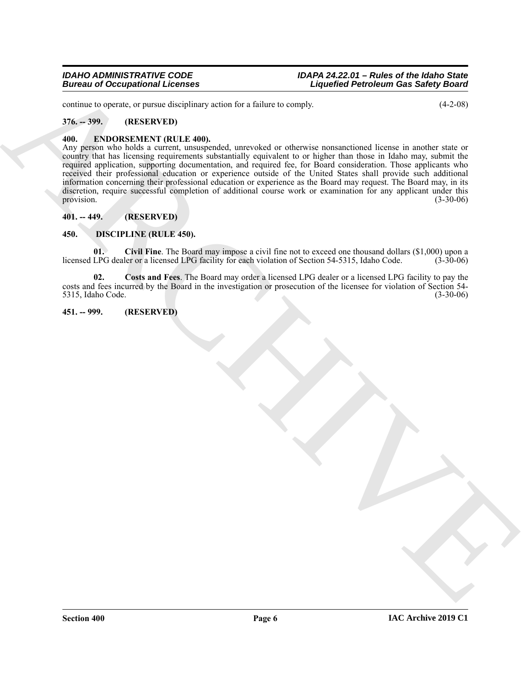continue to operate, or pursue disciplinary action for a failure to comply. (4-2-08)

#### <span id="page-5-0"></span>**376. -- 399. (RESERVED)**

#### <span id="page-5-8"></span><span id="page-5-1"></span>**400. ENDORSEMENT (RULE 400).**

Europa of Occupational Leonies<br>
Since  $\mathbf{X} = \mathbf{X} \mathbf{X} \mathbf{X} \mathbf{X}$ <br>  $\mathbf{X} = \mathbf{X} \mathbf{X} \mathbf{X} \mathbf{X} \mathbf{X} \mathbf{X} \mathbf{X} \mathbf{X} \mathbf{X} \mathbf{X} \mathbf{X} \mathbf{X} \mathbf{X} \mathbf{X} \mathbf{X} \mathbf{X} \mathbf{X} \mathbf{X} \mathbf{X} \mathbf{X} \mathbf{X} \mathbf{X} \mathbf{X} \math$ Any person who holds a current, unsuspended, unrevoked or otherwise nonsanctioned license in another state or country that has licensing requirements substantially equivalent to or higher than those in Idaho may, submit the required application, supporting documentation, and required fee, for Board consideration. Those applicants who received their professional education or experience outside of the United States shall provide such additional information concerning their professional education or experience as the Board may request. The Board may, in its discretion, require successful completion of additional course work or examination for any applicant under this provision.  $(3-30-06)$ 

#### <span id="page-5-2"></span>**401. -- 449. (RESERVED)**

#### <span id="page-5-5"></span><span id="page-5-3"></span>**450. DISCIPLINE (RULE 450).**

<span id="page-5-6"></span>**01. Civil Fine**. The Board may impose a civil fine not to exceed one thousand dollars (\$1,000) upon a licensed LPG dealer or a licensed LPG facility for each violation of Section 54-5315, Idaho Code. (3-30-06)

<span id="page-5-7"></span>**02. Costs and Fees**. The Board may order a licensed LPG dealer or a licensed LPG facility to pay the costs and fees incurred by the Board in the investigation or prosecution of the licensee for violation of Section 54- 5315, Idaho Code.

#### <span id="page-5-4"></span>**451. -- 999. (RESERVED)**